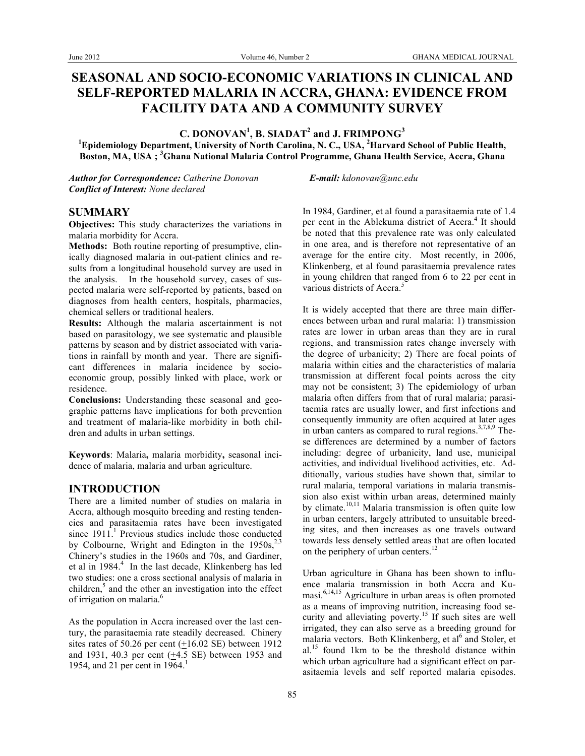# **SEASONAL AND SOCIO-ECONOMIC VARIATIONS IN CLINICAL AND SELF-REPORTED MALARIA IN ACCRA, GHANA: EVIDENCE FROM FACILITY DATA AND A COMMUNITY SURVEY**

 $C$ . DONOVAN<sup>1</sup>, B. SIADAT<sup>2</sup> and J. FRIMPONG<sup>3</sup>

**1 Epidemiology Department, University of North Carolina, N. C., USA, <sup>2</sup> Harvard School of Public Health, Boston, MA, USA ; <sup>3</sup> Ghana National Malaria Control Programme, Ghana Health Service, Accra, Ghana**

*Author for Correspondence: Catherine Donovan E-mail: kdonovan@unc.edu Conflict of Interest: None declared*

#### **SUMMARY**

**Objectives:** This study characterizes the variations in malaria morbidity for Accra.

**Methods:** Both routine reporting of presumptive, clinically diagnosed malaria in out-patient clinics and results from a longitudinal household survey are used in the analysis. In the household survey, cases of suspected malaria were self-reported by patients, based on diagnoses from health centers, hospitals, pharmacies, chemical sellers or traditional healers.

**Results:** Although the malaria ascertainment is not based on parasitology, we see systematic and plausible patterns by season and by district associated with variations in rainfall by month and year. There are significant differences in malaria incidence by socioeconomic group, possibly linked with place, work or residence.

**Conclusions:** Understanding these seasonal and geographic patterns have implications for both prevention and treatment of malaria-like morbidity in both children and adults in urban settings.

**Keywords**: Malaria**,** malaria morbidity**,** seasonal incidence of malaria, malaria and urban agriculture.

#### **INTRODUCTION**

There are a limited number of studies on malaria in Accra, although mosquito breeding and resting tendencies and parasitaemia rates have been investigated since  $1911<sup>1</sup>$  Previous studies include those conducted by Colbourne, Wright and Edington in the  $1950s^{2,3}$ Chinery's studies in the 1960s and 70s, and Gardiner, et al in 1984.<sup>4</sup> In the last decade, Klinkenberg has led two studies: one a cross sectional analysis of malaria in children, $5$  and the other an investigation into the effect of irrigation on malaria.<sup>6</sup>

As the population in Accra increased over the last century, the parasitaemia rate steadily decreased. Chinery sites rates of 50.26 per cent (+16.02 SE) between 1912 and 1931, 40.3 per cent (+4.5 SE) between 1953 and 1954, and 21 per cent in  $1964$ <sup>1</sup>

In 1984, Gardiner, et al found a parasitaemia rate of 1.4 per cent in the Ablekuma district of Accra.<sup>4</sup> It should be noted that this prevalence rate was only calculated in one area, and is therefore not representative of an average for the entire city. Most recently, in 2006, Klinkenberg, et al found parasitaemia prevalence rates in young children that ranged from 6 to 22 per cent in various districts of Accra.<sup>5</sup>

It is widely accepted that there are three main differences between urban and rural malaria: 1) transmission rates are lower in urban areas than they are in rural regions, and transmission rates change inversely with the degree of urbanicity; 2) There are focal points of malaria within cities and the characteristics of malaria transmission at different focal points across the city may not be consistent; 3) The epidemiology of urban malaria often differs from that of rural malaria; parasitaemia rates are usually lower, and first infections and consequently immunity are often acquired at later ages in urban canters as compared to rural regions.<sup>3,7,8,9</sup> These differences are determined by a number of factors including: degree of urbanicity, land use, municipal activities, and individual livelihood activities, etc. Additionally, various studies have shown that, similar to rural malaria, temporal variations in malaria transmission also exist within urban areas, determined mainly by climate.<sup>10,11</sup> Malaria transmission is often quite low in urban centers, largely attributed to unsuitable breeding sites, and then increases as one travels outward towards less densely settled areas that are often located on the periphery of urban centers.<sup>12</sup>

Urban agriculture in Ghana has been shown to influence malaria transmission in both Accra and Kumasi. $6,14,15$  Agriculture in urban areas is often promoted as a means of improving nutrition, increasing food security and alleviating poverty.<sup>15</sup> If such sites are well irrigated, they can also serve as a breeding ground for malaria vectors. Both Klinkenberg, et al<sup>6</sup> and Stoler, et al.<sup>15</sup> found 1km to be the threshold distance within which urban agriculture had a significant effect on parasitaemia levels and self reported malaria episodes.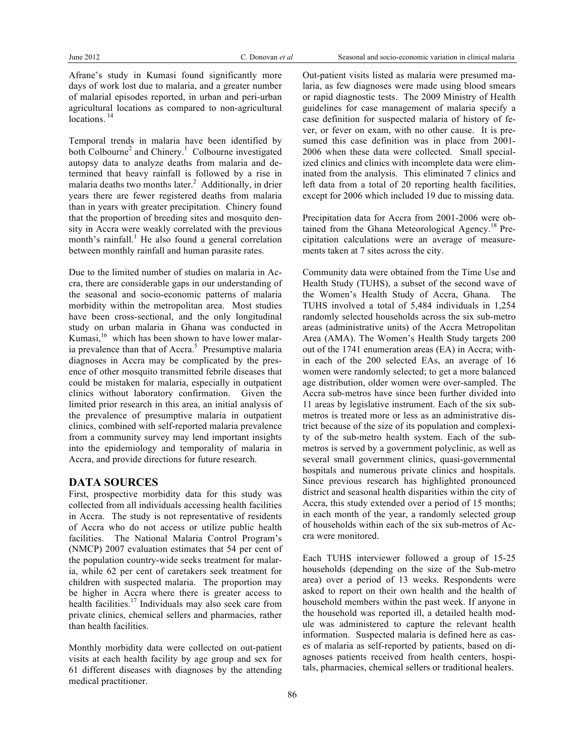Afrane's study in Kumasi found significantly more days of work lost due to malaria, and a greater number of malarial episodes reported, in urban and peri-urban agricultural locations as compared to non-agricultural locations.<sup>14</sup>

Temporal trends in malaria have been identified by both Colbourne<sup>2</sup> and Chinery.<sup>1</sup> Colbourne investigated autopsy data to analyze deaths from malaria and determined that heavy rainfall is followed by a rise in malaria deaths two months later.<sup>2</sup> Additionally, in drier years there are fewer registered deaths from malaria than in years with greater precipitation. Chinery found that the proportion of breeding sites and mosquito density in Accra were weakly correlated with the previous month's rainfall. $<sup>1</sup>$  He also found a general correlation</sup> between monthly rainfall and human parasite rates.

Due to the limited number of studies on malaria in Accra, there are considerable gaps in our understanding of the seasonal and socio-economic patterns of malaria morbidity within the metropolitan area. Most studies have been cross-sectional, and the only longitudinal study on urban malaria in Ghana was conducted in Kumasi,<sup>16</sup> which has been shown to have lower malaria prevalence than that of Accra.<sup>5</sup> Presumptive malaria diagnoses in Accra may be complicated by the presence of other mosquito transmitted febrile diseases that could be mistaken for malaria, especially in outpatient clinics without laboratory confirmation. Given the limited prior research in this area, an initial analysis of the prevalence of presumptive malaria in outpatient clinics, combined with self-reported malaria prevalence from a community survey may lend important insights into the epidemiology and temporality of malaria in Accra, and provide directions for future research.

## **DATA SOURCES**

First, prospective morbidity data for this study was collected from all individuals accessing health facilities in Accra. The study is not representative of residents of Accra who do not access or utilize public health facilities. The National Malaria Control Program's (NMCP) 2007 evaluation estimates that 54 per cent of the population country-wide seeks treatment for malaria, while 62 per cent of caretakers seek treatment for children with suspected malaria. The proportion may be higher in Accra where there is greater access to health facilities.<sup>17</sup> Individuals may also seek care from private clinics, chemical sellers and pharmacies, rather than health facilities.

Monthly morbidity data were collected on out-patient visits at each health facility by age group and sex for 61 different diseases with diagnoses by the attending medical practitioner.

Out-patient visits listed as malaria were presumed malaria, as few diagnoses were made using blood smears or rapid diagnostic tests. The 2009 Ministry of Health guidelines for case management of malaria specify a case definition for suspected malaria of history of fever, or fever on exam, with no other cause. It is presumed this case definition was in place from 2001- 2006 when these data were collected. Small specialized clinics and clinics with incomplete data were eliminated from the analysis. This eliminated 7 clinics and left data from a total of 20 reporting health facilities, except for 2006 which included 19 due to missing data.

Precipitation data for Accra from 2001-2006 were obtained from the Ghana Meteorological Agency.<sup>18</sup> Precipitation calculations were an average of measurements taken at 7 sites across the city.

Community data were obtained from the Time Use and Health Study (TUHS), a subset of the second wave of the Women's Health Study of Accra, Ghana. The TUHS involved a total of 5,484 individuals in 1,254 randomly selected households across the six sub-metro areas (administrative units) of the Accra Metropolitan Area (AMA). The Women's Health Study targets 200 out of the 1741 enumeration areas (EA) in Accra; within each of the 200 selected EAs, an average of 16 women were randomly selected; to get a more balanced age distribution, older women were over-sampled. The Accra sub-metros have since been further divided into 11 areas by legislative instrument. Each of the six submetros is treated more or less as an administrative district because of the size of its population and complexity of the sub-metro health system. Each of the submetros is served by a government polyclinic, as well as several small government clinics, quasi-governmental hospitals and numerous private clinics and hospitals. Since previous research has highlighted pronounced district and seasonal health disparities within the city of Accra, this study extended over a period of 15 months; in each month of the year, a randomly selected group of households within each of the six sub-metros of Accra were monitored.

Each TUHS interviewer followed a group of 15-25 households (depending on the size of the Sub-metro area) over a period of 13 weeks. Respondents were asked to report on their own health and the health of household members within the past week. If anyone in the household was reported ill, a detailed health module was administered to capture the relevant health information. Suspected malaria is defined here as cases of malaria as self-reported by patients, based on diagnoses patients received from health centers, hospitals, pharmacies, chemical sellers or traditional healers.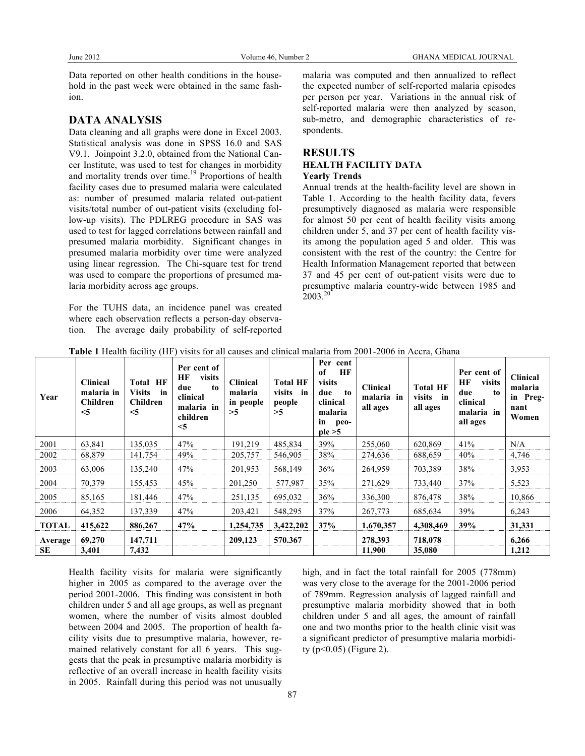Data reported on other health conditions in the household in the past week were obtained in the same fashion.

## **DATA ANALYSIS**

Data cleaning and all graphs were done in Excel 2003. Statistical analysis was done in SPSS 16.0 and SAS V9.1. Joinpoint 3.2.0, obtained from the National Cancer Institute, was used to test for changes in morbidity and mortality trends over time.<sup>19</sup> Proportions of health facility cases due to presumed malaria were calculated as: number of presumed malaria related out-patient visits/total number of out-patient visits (excluding follow-up visits). The PDLREG procedure in SAS was used to test for lagged correlations between rainfall and presumed malaria morbidity. Significant changes in presumed malaria morbidity over time were analyzed using linear regression. The Chi-square test for trend was used to compare the proportions of presumed malaria morbidity across age groups.

For the TUHS data, an incidence panel was created where each observation reflects a person-day observation. The average daily probability of self-reported malaria was computed and then annualized to reflect the expected number of self-reported malaria episodes per person per year. Variations in the annual risk of self-reported malaria were then analyzed by season, sub-metro, and demographic characteristics of respondents.

## **RESULTS HEALTH FACILITY DATA Yearly Trends**

Annual trends at the health-facility level are shown in Table 1. According to the health facility data, fevers presumptively diagnosed as malaria were responsible for almost 50 per cent of health facility visits among children under 5, and 37 per cent of health facility visits among the population aged 5 and older. This was consistent with the rest of the country: the Centre for Health Information Management reported that between 37 and 45 per cent of out-patient visits were due to presumptive malaria country-wide between 1985 and 2003.<sup>20</sup>

| Year         | <b>Clinical</b><br>malaria in<br><b>Children</b><br>$<$ 5 | <b>Total HF</b><br>Visits in<br>Children<br>$<$ 5 | Per cent of<br>HF<br>visits<br>due<br>to<br>clinical<br>malaria in<br>children<br>$<$ 5 | <b>Clinical</b><br>malaria<br>in people<br>>5 | <b>Total HF</b><br>visits<br>in<br>people<br>>5 | Per cent<br>HF<br>of<br>visits<br>due<br>to<br>clinical<br>malaria<br>in<br>peo-<br>ple > 5 | <b>Clinical</b><br>malaria in<br>all ages | <b>Total HF</b><br>visits<br>in<br>all ages | Per cent of<br>HF<br>visits<br>due<br>to<br>clinical<br>malaria in<br>all ages | <b>Clinical</b><br>malaria<br>in Preg-<br>nant<br>Women |
|--------------|-----------------------------------------------------------|---------------------------------------------------|-----------------------------------------------------------------------------------------|-----------------------------------------------|-------------------------------------------------|---------------------------------------------------------------------------------------------|-------------------------------------------|---------------------------------------------|--------------------------------------------------------------------------------|---------------------------------------------------------|
| 2001         | 63,841                                                    | 135,035                                           | 47%                                                                                     | 191,219                                       | 485,834                                         | 39%                                                                                         | 255,060                                   | 620,869                                     | 41%                                                                            | N/A                                                     |
| 2002         | 68,879                                                    | 141,754                                           | 49%                                                                                     | 205,757                                       | 546,905                                         | 38%                                                                                         | 274,636                                   | 688,659                                     | 40%                                                                            | 4,746                                                   |
| 2003         | 63,006                                                    | 135,240                                           | 47%                                                                                     | 201,953                                       | 568,149                                         | 36%                                                                                         | 264,959                                   | 703,389                                     | 38%                                                                            | 3,953                                                   |
| 2004         | 70,379                                                    | 155,453                                           | 45%                                                                                     | 201,250                                       | 577,987                                         | 35%                                                                                         | 271,629                                   | 733,440                                     | 37%                                                                            | 5,523                                                   |
| 2005         | 85,165                                                    | 181,446                                           | 47%                                                                                     | 251,135                                       | 695,032                                         | 36%                                                                                         | 336,300                                   | 876,478                                     | 38%                                                                            | 10,866                                                  |
| 2006         | 64,352                                                    | 137,339                                           | 47%                                                                                     | 203,421                                       | 548,295                                         | 37%                                                                                         | 267,773                                   | 685,634                                     | 39%                                                                            | 6,243                                                   |
| <b>TOTAL</b> | 415,622                                                   | 886,267                                           | 47%                                                                                     | 1,254,735                                     | 3,422,202                                       | 37%                                                                                         | 1,670,357                                 | 4,308,469                                   | 39%                                                                            | 31,331                                                  |
| Average      | 69,270                                                    | 147,711                                           |                                                                                         | 209,123                                       | 570.367                                         |                                                                                             | 278,393                                   | 718,078                                     |                                                                                | 6,266                                                   |
| SE           | 3,401                                                     | 7,432                                             |                                                                                         |                                               |                                                 |                                                                                             | 11,900                                    | 35,080                                      |                                                                                | 1,212                                                   |

**Table 1** Health facility (HF) visits for all causes and clinical malaria from 2001-2006 in Accra, Ghana

Health facility visits for malaria were significantly higher in 2005 as compared to the average over the period 2001-2006. This finding was consistent in both children under 5 and all age groups, as well as pregnant women, where the number of visits almost doubled between 2004 and 2005. The proportion of health facility visits due to presumptive malaria, however, remained relatively constant for all 6 years. This suggests that the peak in presumptive malaria morbidity is reflective of an overall increase in health facility visits in 2005. Rainfall during this period was not unusually

high, and in fact the total rainfall for 2005 (778mm) was very close to the average for the 2001-2006 period of 789mm. Regression analysis of lagged rainfall and presumptive malaria morbidity showed that in both children under 5 and all ages, the amount of rainfall one and two months prior to the health clinic visit was a significant predictor of presumptive malaria morbidity (p<0.05) (Figure 2).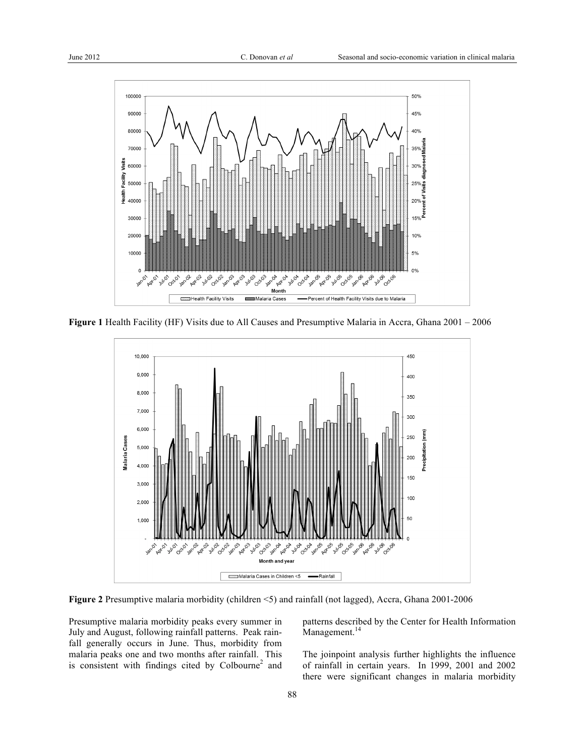

**Figure 1** Health Facility (HF) Visits due to All Causes and Presumptive Malaria in Accra, Ghana 2001 – 2006



**Figure 2** Presumptive malaria morbidity (children <5) and rainfall (not lagged), Accra, Ghana 2001-2006

Presumptive malaria morbidity peaks every summer in July and August, following rainfall patterns. Peak rainfall generally occurs in June. Thus, morbidity from malaria peaks one and two months after rainfall. This is consistent with findings cited by Colbourne<sup>2</sup> and

patterns described by the Center for Health Information Management.<sup>14</sup>

The joinpoint analysis further highlights the influence of rainfall in certain years. In 1999, 2001 and 2002 there were significant changes in malaria morbidity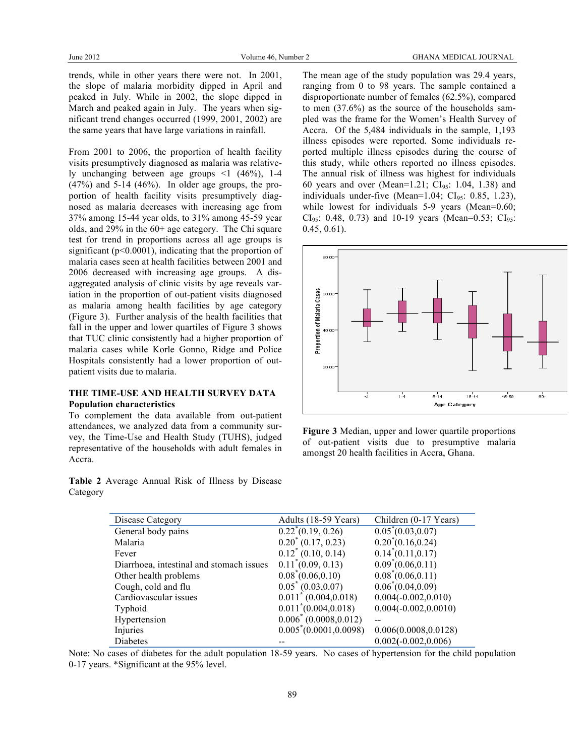trends, while in other years there were not. In 2001, the slope of malaria morbidity dipped in April and peaked in July. While in 2002, the slope dipped in March and peaked again in July. The years when significant trend changes occurred (1999, 2001, 2002) are the same years that have large variations in rainfall.

From 2001 to 2006, the proportion of health facility visits presumptively diagnosed as malaria was relatively unchanging between age groups <1 (46%), 1-4 (47%) and 5-14 (46%). In older age groups, the proportion of health facility visits presumptively diagnosed as malaria decreases with increasing age from 37% among 15-44 year olds, to 31% among 45-59 year olds, and 29% in the 60+ age category. The Chi square test for trend in proportions across all age groups is significant ( $p<0.0001$ ), indicating that the proportion of malaria cases seen at health facilities between 2001 and 2006 decreased with increasing age groups. A disaggregated analysis of clinic visits by age reveals variation in the proportion of out-patient visits diagnosed as malaria among health facilities by age category (Figure 3). Further analysis of the health facilities that fall in the upper and lower quartiles of Figure 3 shows that TUC clinic consistently had a higher proportion of malaria cases while Korle Gonno, Ridge and Police Hospitals consistently had a lower proportion of outpatient visits due to malaria.

## **THE TIME-USE AND HEALTH SURVEY DATA Population characteristics**

To complement the data available from out-patient attendances, we analyzed data from a community survey, the Time-Use and Health Study (TUHS), judged representative of the households with adult females in Accra.

**Table 2** Average Annual Risk of Illness by Disease Category

The mean age of the study population was 29.4 years, ranging from 0 to 98 years. The sample contained a disproportionate number of females (62.5%), compared to men (37.6%) as the source of the households sampled was the frame for the Women's Health Survey of Accra. Of the 5,484 individuals in the sample, 1,193 illness episodes were reported. Some individuals reported multiple illness episodes during the course of this study, while others reported no illness episodes. The annual risk of illness was highest for individuals 60 years and over (Mean=1.21;  $CI_{95}$ : 1.04, 1.38) and individuals under-five (Mean= $1.04$ ; CI<sub>95</sub>: 0.85, 1.23), while lowest for individuals 5-9 years (Mean=0.60;  $CI_{95}$ : 0.48, 0.73) and 10-19 years (Mean=0.53;  $CI_{95}$ : 0.45, 0.61).



**Figure 3** Median, upper and lower quartile proportions of out-patient visits due to presumptive malaria amongst 20 health facilities in Accra, Ghana.

| Disease Category                         | Adults (18-59 Years)             | Children (0-17 Years)        |
|------------------------------------------|----------------------------------|------------------------------|
| General body pains                       | $\overline{0.22}^* (0.19, 0.26)$ | $0.05^*(0.03, 0.07)$         |
| Malaria                                  | $0.20^* (0.17, 0.23)$            | $0.20^*(0.16, 0.24)$         |
| Fever                                    | $0.12^* (0.10, 0.14)$            | $0.14^*(0.11, 0.17)$         |
| Diarrhoea, intestinal and stomach issues | $0.11^*(0.09, 0.13)$             | $0.09^*(0.06, 0.11)$         |
| Other health problems                    | $0.08^{\degree}(0.06, 0.10)$     | $0.08^{\degree}(0.06, 0.11)$ |
| Cough, cold and flu                      | $0.05^* (0.03, 0.07)$            | $0.06^*(0.04, 0.09)$         |
| Cardiovascular issues                    | $0.011^* (0.004, 0.018)$         | $0.004(-0.002, 0.010)$       |
| Typhoid                                  | $0.011^*(0.004, 0.018)$          | $0.004(-0.002, 0.0010)$      |
| Hypertension                             | $0.006^*(0.0008, 0.012)$         |                              |
| Injuries                                 | $0.005^*(0.0001, 0.0098)$        | 0.006(0.0008, 0.0128)        |
| Diabetes                                 |                                  | $0.002(-0.002, 0.006)$       |

Note: No cases of diabetes for the adult population 18-59 years. No cases of hypertension for the child population 0-17 years. \*Significant at the 95% level.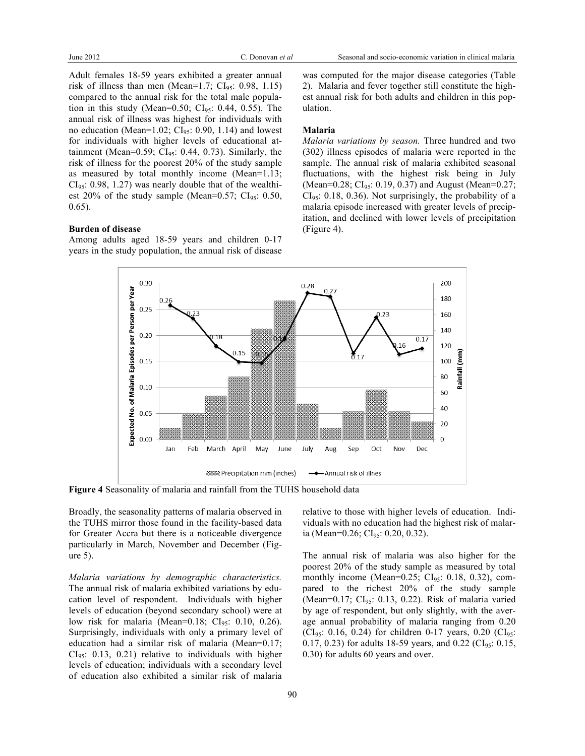Adult females 18-59 years exhibited a greater annual risk of illness than men (Mean=1.7;  $CI_{95}$ : 0.98, 1.15) compared to the annual risk for the total male population in this study (Mean=0.50;  $CI_{95}$ : 0.44, 0.55). The annual risk of illness was highest for individuals with no education (Mean=1.02;  $CI<sub>95</sub>: 0.90, 1.14$ ) and lowest for individuals with higher levels of educational attainment (Mean=0.59; CI $_{95}$ : 0.44, 0.73). Similarly, the risk of illness for the poorest 20% of the study sample as measured by total monthly income (Mean=1.13;  $CI<sub>95</sub>: 0.98, 1.27$  was nearly double that of the wealthiest 20% of the study sample (Mean=0.57;  $CI_{95}$ : 0.50, 0.65).

#### **Burden of disease**

Among adults aged 18-59 years and children 0-17 years in the study population, the annual risk of disease

was computed for the major disease categories (Table 2). Malaria and fever together still constitute the highest annual risk for both adults and children in this population.

#### **Malaria**

*Malaria variations by season.* Three hundred and two (302) illness episodes of malaria were reported in the sample. The annual risk of malaria exhibited seasonal fluctuations, with the highest risk being in July (Mean=0.28; CI<sub>95</sub>: 0.19, 0.37) and August (Mean=0.27;  $CI<sub>95</sub>: 0.18, 0.36$ . Not surprisingly, the probability of a malaria episode increased with greater levels of precipitation, and declined with lower levels of precipitation (Figure 4).



**Figure 4** Seasonality of malaria and rainfall from the TUHS household data

Broadly, the seasonality patterns of malaria observed in the TUHS mirror those found in the facility-based data for Greater Accra but there is a noticeable divergence particularly in March, November and December (Figure 5).

*Malaria variations by demographic characteristics.*  The annual risk of malaria exhibited variations by education level of respondent. Individuals with higher levels of education (beyond secondary school) were at low risk for malaria (Mean=0.18;  $CI<sub>95</sub>$ : 0.10, 0.26). Surprisingly, individuals with only a primary level of education had a similar risk of malaria (Mean=0.17;  $CI<sub>95</sub>: 0.13, 0.21$  relative to individuals with higher levels of education; individuals with a secondary level of education also exhibited a similar risk of malaria

relative to those with higher levels of education. Individuals with no education had the highest risk of malaria (Mean=0.26;  $CI<sub>95</sub>: 0.20, 0.32$ ).

The annual risk of malaria was also higher for the poorest 20% of the study sample as measured by total monthly income (Mean= $0.25$ ; CI<sub>95</sub>: 0.18, 0.32), compared to the richest 20% of the study sample (Mean= $0.17$ ; CI<sub>95</sub>: 0.13, 0.22). Risk of malaria varied by age of respondent, but only slightly, with the average annual probability of malaria ranging from 0.20 (CI<sub>95</sub>: 0.16, 0.24) for children 0-17 years, 0.20 (CI<sub>95</sub>: 0.17, 0.23) for adults 18-59 years, and 0.22 ( $CI_{95}$ : 0.15, 0.30) for adults 60 years and over.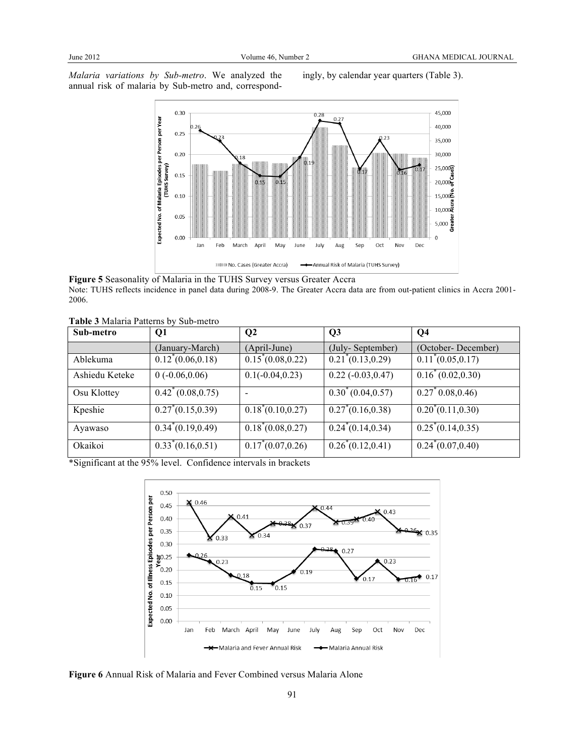*Malaria variations by Sub-metro*. We analyzed the annual risk of malaria by Sub-metro and, correspondingly, by calendar year quarters (Table 3).



**Figure 5** Seasonality of Malaria in the TUHS Survey versus Greater Accra Note: TUHS reflects incidence in panel data during 2008-9. The Greater Accra data are from out-patient clinics in Accra 2001- 2006.

|  |  |  |  | Table 3 Malaria Patterns by Sub-metro |
|--|--|--|--|---------------------------------------|
|--|--|--|--|---------------------------------------|

| Sub-metro      | Q1                         | Q <sub>2</sub>       | Q <sub>3</sub>       | Q <sub>4</sub>       |
|----------------|----------------------------|----------------------|----------------------|----------------------|
|                | (January-March)            | (April-June)         | (July-September)     | (October-December)   |
| Ablekuma       | $0.12^*(0.06, 0.18)$       | $0.15^*(0.08, 0.22)$ | $0.21^*(0.13, 0.29)$ | $0.11^*(0.05, 0.17)$ |
| Ashiedu Keteke | $0(-0.06, 0.06)$           | $0.1(-0.04, 0.23)$   | $0.22 (-0.03, 0.47)$ | $0.16^*(0.02, 0.30)$ |
| Osu Klottey    | $0.42^*(0.08, 0.75)$       |                      | $0.30^*(0.04, 0.57)$ | $0.27^*0.08, 0.46$   |
| Kpeshie        | $0.27^{\circ}(0.15, 0.39)$ | $0.18^*(0.10, 0.27)$ | $0.27^*(0.16, 0.38)$ | $0.20^*(0.11, 0.30)$ |
| Ayawaso        | $0.34^*(0.19, 0.49)$       | $0.18^*(0.08, 0.27)$ | $0.24^*(0.14, 0.34)$ | $0.25^*(0.14, 0.35)$ |
| Okaikoi        | $0.33^*(0.16, 0.51)$       | $0.17^*(0.07, 0.26)$ | $0.26^*(0.12, 0.41)$ | $0.24^*(0.07, 0.40)$ |

\*Significant at the 95% level. Confidence intervals in brackets



**Figure 6** Annual Risk of Malaria and Fever Combined versus Malaria Alone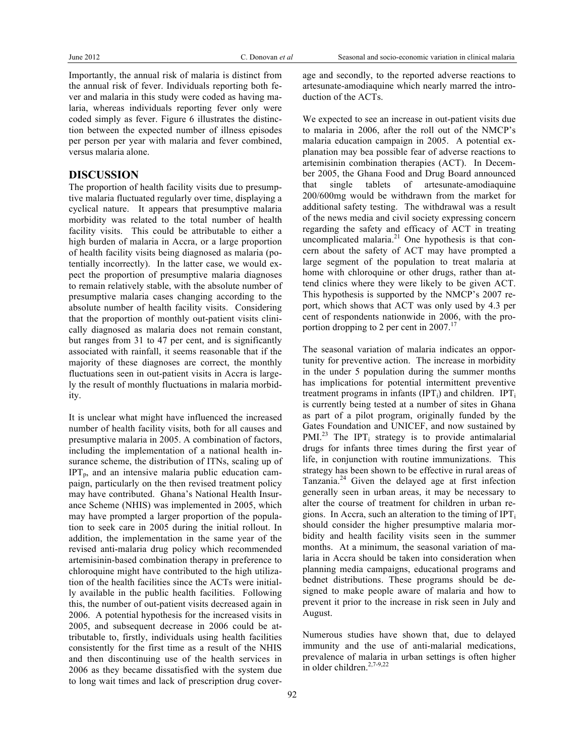Importantly, the annual risk of malaria is distinct from the annual risk of fever. Individuals reporting both fever and malaria in this study were coded as having malaria, whereas individuals reporting fever only were coded simply as fever. Figure 6 illustrates the distinction between the expected number of illness episodes per person per year with malaria and fever combined, versus malaria alone.

## **DISCUSSION**

The proportion of health facility visits due to presumptive malaria fluctuated regularly over time, displaying a cyclical nature. It appears that presumptive malaria morbidity was related to the total number of health facility visits. This could be attributable to either a high burden of malaria in Accra, or a large proportion of health facility visits being diagnosed as malaria (potentially incorrectly). In the latter case, we would expect the proportion of presumptive malaria diagnoses to remain relatively stable, with the absolute number of presumptive malaria cases changing according to the absolute number of health facility visits. Considering that the proportion of monthly out-patient visits clinically diagnosed as malaria does not remain constant, but ranges from 31 to 47 per cent, and is significantly associated with rainfall, it seems reasonable that if the majority of these diagnoses are correct, the monthly fluctuations seen in out-patient visits in Accra is largely the result of monthly fluctuations in malaria morbidity.

It is unclear what might have influenced the increased number of health facility visits, both for all causes and presumptive malaria in 2005. A combination of factors, including the implementation of a national health insurance scheme, the distribution of ITNs, scaling up of  $IPT<sub>p</sub>$ , and an intensive malaria public education campaign, particularly on the then revised treatment policy may have contributed. Ghana's National Health Insurance Scheme (NHIS) was implemented in 2005, which may have prompted a larger proportion of the population to seek care in 2005 during the initial rollout. In addition, the implementation in the same year of the revised anti-malaria drug policy which recommended artemisinin-based combination therapy in preference to chloroquine might have contributed to the high utilization of the health facilities since the ACTs were initially available in the public health facilities. Following this, the number of out-patient visits decreased again in 2006. A potential hypothesis for the increased visits in 2005, and subsequent decrease in 2006 could be attributable to, firstly, individuals using health facilities consistently for the first time as a result of the NHIS and then discontinuing use of the health services in 2006 as they became dissatisfied with the system due to long wait times and lack of prescription drug coverage and secondly, to the reported adverse reactions to artesunate-amodiaquine which nearly marred the introduction of the ACTs.

We expected to see an increase in out-patient visits due to malaria in 2006, after the roll out of the NMCP's malaria education campaign in 2005. A potential explanation may bea possible fear of adverse reactions to artemisinin combination therapies (ACT). In December 2005, the Ghana Food and Drug Board announced that single tablets of artesunate-amodiaquine 200/600mg would be withdrawn from the market for additional safety testing. The withdrawal was a result of the news media and civil society expressing concern regarding the safety and efficacy of ACT in treating uncomplicated malaria. $21$  One hypothesis is that concern about the safety of ACT may have prompted a large segment of the population to treat malaria at home with chloroquine or other drugs, rather than attend clinics where they were likely to be given ACT. This hypothesis is supported by the NMCP's 2007 report, which shows that ACT was only used by 4.3 per cent of respondents nationwide in 2006, with the proportion dropping to 2 per cent in  $2007$ <sup>17</sup>

The seasonal variation of malaria indicates an opportunity for preventive action. The increase in morbidity in the under 5 population during the summer months has implications for potential intermittent preventive treatment programs in infants (IPT<sub>i</sub>) and children. IPT<sub>i</sub> is currently being tested at a number of sites in Ghana as part of a pilot program, originally funded by the Gates Foundation and UNICEF, and now sustained by  $PML^{23}$  The IPT<sub>i</sub> strategy is to provide antimalarial drugs for infants three times during the first year of life, in conjunction with routine immunizations. This strategy has been shown to be effective in rural areas of Tanzania.<sup>24</sup> Given the delayed age at first infection generally seen in urban areas, it may be necessary to alter the course of treatment for children in urban regions. In Accra, such an alteration to the timing of  $IPT_i$ should consider the higher presumptive malaria morbidity and health facility visits seen in the summer months. At a minimum, the seasonal variation of malaria in Accra should be taken into consideration when planning media campaigns, educational programs and bednet distributions. These programs should be designed to make people aware of malaria and how to prevent it prior to the increase in risk seen in July and August.

Numerous studies have shown that, due to delayed immunity and the use of anti-malarial medications, prevalence of malaria in urban settings is often higher in older children.<sup>2,7-9,22</sup>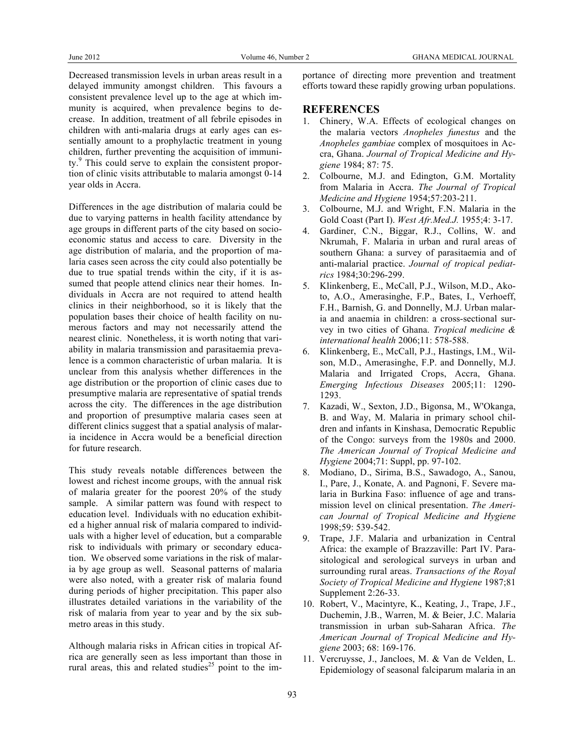Decreased transmission levels in urban areas result in a delayed immunity amongst children. This favours a consistent prevalence level up to the age at which immunity is acquired, when prevalence begins to decrease. In addition, treatment of all febrile episodes in children with anti-malaria drugs at early ages can essentially amount to a prophylactic treatment in young children, further preventing the acquisition of immunity.<sup>9</sup> This could serve to explain the consistent proportion of clinic visits attributable to malaria amongst 0-14 year olds in Accra.

Differences in the age distribution of malaria could be due to varying patterns in health facility attendance by age groups in different parts of the city based on socioeconomic status and access to care. Diversity in the age distribution of malaria, and the proportion of malaria cases seen across the city could also potentially be due to true spatial trends within the city, if it is assumed that people attend clinics near their homes. Individuals in Accra are not required to attend health clinics in their neighborhood, so it is likely that the population bases their choice of health facility on numerous factors and may not necessarily attend the nearest clinic. Nonetheless, it is worth noting that variability in malaria transmission and parasitaemia prevalence is a common characteristic of urban malaria. It is unclear from this analysis whether differences in the age distribution or the proportion of clinic cases due to presumptive malaria are representative of spatial trends across the city. The differences in the age distribution and proportion of presumptive malaria cases seen at different clinics suggest that a spatial analysis of malaria incidence in Accra would be a beneficial direction for future research.

This study reveals notable differences between the lowest and richest income groups, with the annual risk of malaria greater for the poorest 20% of the study sample. A similar pattern was found with respect to education level. Individuals with no education exhibited a higher annual risk of malaria compared to individuals with a higher level of education, but a comparable risk to individuals with primary or secondary education. We observed some variations in the risk of malaria by age group as well. Seasonal patterns of malaria were also noted, with a greater risk of malaria found during periods of higher precipitation. This paper also illustrates detailed variations in the variability of the risk of malaria from year to year and by the six submetro areas in this study.

Although malaria risks in African cities in tropical Africa are generally seen as less important than those in rural areas, this and related studies<sup>25</sup> point to the im-

portance of directing more prevention and treatment efforts toward these rapidly growing urban populations.

## **REFERENCES**

- 1. Chinery, W.A. Effects of ecological changes on the malaria vectors *Anopheles funestus* and the *Anopheles gambiae* complex of mosquitoes in Accra, Ghana. *Journal of Tropical Medicine and Hygiene* 1984; 87: 75.
- 2. Colbourne, M.J. and Edington, G.M. Mortality from Malaria in Accra. *The Journal of Tropical Medicine and Hygiene* 1954;57:203-211.
- 3. Colbourne, M.J. and Wright, F.N. Malaria in the Gold Coast (Part I). *West Afr.Med.J.* 1955;4: 3-17.
- 4. Gardiner, C.N., Biggar, R.J., Collins, W. and Nkrumah, F. Malaria in urban and rural areas of southern Ghana: a survey of parasitaemia and of anti-malarial practice. *Journal of tropical pediatrics* 1984;30:296-299.
- 5. Klinkenberg, E., McCall, P.J., Wilson, M.D., Akoto, A.O., Amerasinghe, F.P., Bates, I., Verhoeff, F.H., Barnish, G. and Donnelly, M.J. Urban malaria and anaemia in children: a cross-sectional survey in two cities of Ghana. *Tropical medicine & international health* 2006;11: 578-588.
- 6. Klinkenberg, E., McCall, P.J., Hastings, I.M., Wilson, M.D., Amerasinghe, F.P. and Donnelly, M.J. Malaria and Irrigated Crops, Accra, Ghana. *Emerging Infectious Diseases* 2005;11: 1290- 1293.
- 7. Kazadi, W., Sexton, J.D., Bigonsa, M., W'Okanga, B. and Way, M. Malaria in primary school children and infants in Kinshasa, Democratic Republic of the Congo: surveys from the 1980s and 2000. *The American Journal of Tropical Medicine and Hygiene* 2004;71: Suppl, pp. 97-102.
- 8. Modiano, D., Sirima, B.S., Sawadogo, A., Sanou, I., Pare, J., Konate, A. and Pagnoni, F. Severe malaria in Burkina Faso: influence of age and transmission level on clinical presentation. *The American Journal of Tropical Medicine and Hygiene*  1998;59: 539-542.
- 9. Trape, J.F. Malaria and urbanization in Central Africa: the example of Brazzaville: Part IV. Parasitological and serological surveys in urban and surrounding rural areas. *Transactions of the Royal Society of Tropical Medicine and Hygiene* 1987;81 Supplement 2:26-33.
- 10. Robert, V., Macintyre, K., Keating, J., Trape, J.F., Duchemin, J.B., Warren, M. & Beier, J.C. Malaria transmission in urban sub-Saharan Africa. *The American Journal of Tropical Medicine and Hygiene* 2003; 68: 169-176.
- 11. Vercruysse, J., Jancloes, M. & Van de Velden, L. Epidemiology of seasonal falciparum malaria in an